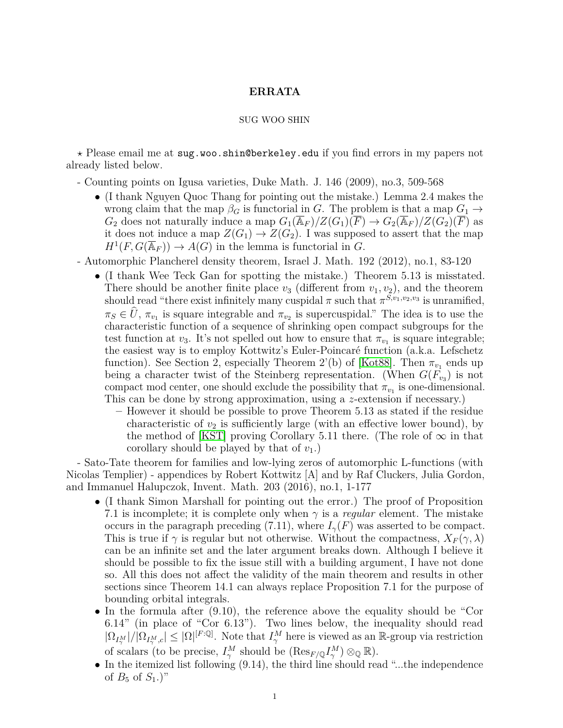## **ERRATA**

## SUG WOO SHIN

*?* Please email me at sug.woo.shin@berkeley.edu if you find errors in my papers not already listed below.

- Counting points on Igusa varieties, Duke Math. J. 146 (2009), no.3, 509-568

- (I thank Nguyen Quoc Thang for pointing out the mistake.) Lemma 2.4 makes the wrong claim that the map  $\beta_G$  is functorial in *G*. The problem is that a map  $G_1 \rightarrow$ *G*<sub>2</sub> does not naturally induce a map  $G_1(\overline{\mathbb{A}}_F)/Z(G_1)(\overline{F}) \to G_2(\overline{\mathbb{A}}_F)/Z(G_2)(\overline{F})$  as it does not induce a map  $Z(G_1) \to Z(G_2)$ . I was supposed to assert that the map  $H^1(F, G(\overline{\mathbb{A}}_F)) \to A(G)$  in the lemma is functorial in *G*.
- Automorphic Plancherel density theorem, Israel J. Math. 192 (2012), no.1, 83-120
	- (I thank Wee Teck Gan for spotting the mistake.) Theorem 5.13 is misstated. There should be another finite place  $v_3$  (different from  $v_1, v_2$ ), and the theorem should read "there exist infinitely many cuspidal  $\pi$  such that  $\pi^{S,v_1,v_2,v_3}$  is unramified,  $\pi_S \in U$ ,  $\pi_{v_1}$  is square integrable and  $\pi_{v_2}$  is supercuspidal." The idea is to use the characteristic function of a sequence of shrinking open compact subgroups for the test function at *v*<sub>3</sub>. It's not spelled out how to ensure that  $\pi_{v_1}$  is square integrable; the easiest way is to employ Kottwitz's Euler-Poincaré function (a.k.a. Lefschetz function). See Section 2, especially Theorem 2'(b) of [\[Kot88\]](#page-1-0). Then  $\pi_{v_1}$  ends up being a character twist of the Steinberg representation. (When  $G(F_{v_3})$  is not compact mod center, one should exclude the possibility that  $\pi_{v_1}$  is one-dimensional. This can be done by strong approximation, using a *z*-extension if necessary.)
		- **–** However it should be possible to prove Theorem 5.13 as stated if the residue characteristic of  $v_2$  is sufficiently large (with an effective lower bound), by the method of [\[KST\]](#page-1-1) proving Corollary 5.11 there. (The role of  $\infty$  in that corollary should be played by that of  $v_1$ .)

- Sato-Tate theorem for families and low-lying zeros of automorphic L-functions (with Nicolas Templier) - appendices by Robert Kottwitz [A] and by Raf Cluckers, Julia Gordon, and Immanuel Halupczok, Invent. Math. 203 (2016), no.1, 1-177

- (I thank Simon Marshall for pointing out the error.) The proof of Proposition 7.1 is incomplete; it is complete only when *γ* is a *regular* element. The mistake occurs in the paragraph preceding (7.11), where  $I_{\gamma}(F)$  was asserted to be compact. This is true if  $\gamma$  is regular but not otherwise. Without the compactness,  $X_F(\gamma, \lambda)$ can be an infinite set and the later argument breaks down. Although I believe it should be possible to fix the issue still with a building argument, I have not done so. All this does not affect the validity of the main theorem and results in other sections since Theorem 14.1 can always replace Proposition 7.1 for the purpose of bounding orbital integrals.
- In the formula after (9.10), the reference above the equality should be "Cor 6.14" (in place of "Cor 6.13"). Two lines below, the inequality should read  $|\Omega_{I_{\gamma}^{M}}|/|\Omega_{I_{\gamma}^{M},c}| \leq |\Omega|^{[F:\mathbb{Q}]}$ . Note that  $I_{\gamma}^{M}$  here is viewed as an R-group via restriction of scalars (to be precise,  $I^M_\gamma$  should be  $(\text{Res}_{F/\mathbb{Q}} I^M_\gamma) \otimes_{\mathbb{Q}} \mathbb{R}$ ).
- In the itemized list following (9.14), the third line should read "...the independence of  $B_5$  of  $S_1$ .)"